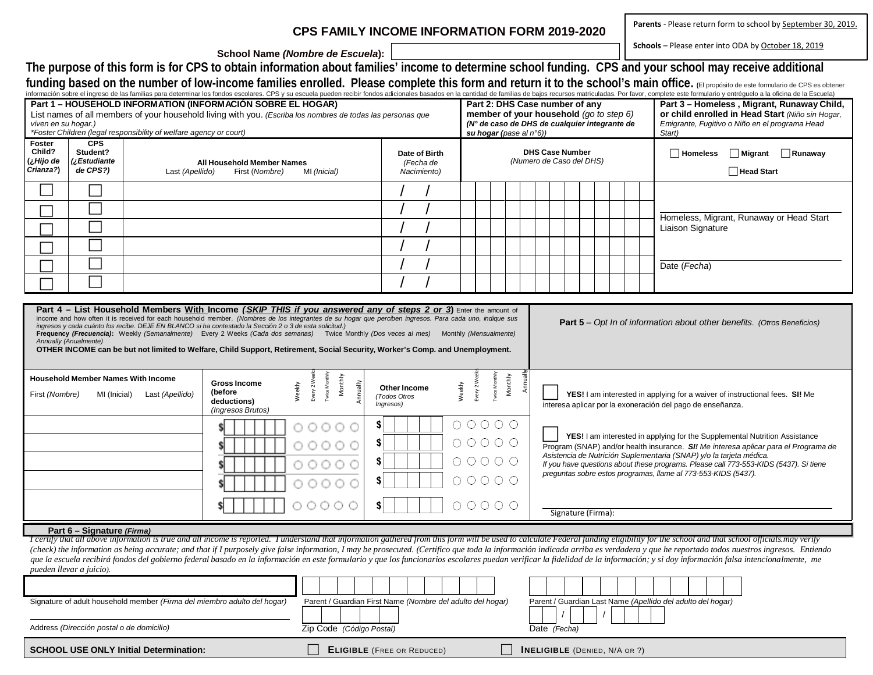## **CPS FAMILY INCOME INFORMATION FORM 2019-2020**

Parents - Please return form to school by September 30, 2019.

Schools - Please enter into ODA by October 18, 2019

**School Name** *(Nombre de Escuela***):**

The purpose of this form is for CPS to obtain information about families' income to determine school funding. CPS and your school may receive additional

funding based on the number of low-income families enrolled. Please complete this form and return it to the school's main office. (El propósito de este formulario de CPS es obtener<br>información sobre el ingreso de las famil

| mormación sobre el ingreso de las lamillas para determinar los londos escolares. CPS y su escuela pueden recibir londos adicionales pasados en la cantidad de lamillas de paps recursos matriculadas. Por lavor, complete este<br>Part 1 - HOUSEHOLD INFORMATION (INFORMACIÓN SOBRE EL HOGAR)<br>List names of all members of your household living with you. (Escriba los nombres de todas las personas que<br>viven en su hogar.)<br>*Foster Children (legal responsibility of welfare agency or court)<br>su hogar (pase al $n°6$ )) |                                                                                                                                                                                                                                                                                                                                                                                                                                                                                                                                                                                                                                                                                           |                                                                          |                                              |                                                                             |                                                                                                       |  |                                                      |  |                                                             | Part 2: DHS Case number of any<br>member of your household (go to step 6)<br>(N° de caso de DHS de cualquier integrante de |                                                                                                                                           |                                                                                                                                                                                                                                          |                                                                | Part 3 - Homeless, Migrant, Runaway Child,<br>or child enrolled in Head Start (Niño sin Hogar,<br>Emigrante, Fugitivo o Niño en el programa Head<br>Start)                                                                                                                                                                                                                                                                                                                                                                                                                                                                                                                                        |  |  |  |
|-----------------------------------------------------------------------------------------------------------------------------------------------------------------------------------------------------------------------------------------------------------------------------------------------------------------------------------------------------------------------------------------------------------------------------------------------------------------------------------------------------------------------------------------|-------------------------------------------------------------------------------------------------------------------------------------------------------------------------------------------------------------------------------------------------------------------------------------------------------------------------------------------------------------------------------------------------------------------------------------------------------------------------------------------------------------------------------------------------------------------------------------------------------------------------------------------------------------------------------------------|--------------------------------------------------------------------------|----------------------------------------------|-----------------------------------------------------------------------------|-------------------------------------------------------------------------------------------------------|--|------------------------------------------------------|--|-------------------------------------------------------------|----------------------------------------------------------------------------------------------------------------------------|-------------------------------------------------------------------------------------------------------------------------------------------|------------------------------------------------------------------------------------------------------------------------------------------------------------------------------------------------------------------------------------------|----------------------------------------------------------------|---------------------------------------------------------------------------------------------------------------------------------------------------------------------------------------------------------------------------------------------------------------------------------------------------------------------------------------------------------------------------------------------------------------------------------------------------------------------------------------------------------------------------------------------------------------------------------------------------------------------------------------------------------------------------------------------------|--|--|--|
| Foster<br>Child?<br>¿Hijo de<br>Crianza?)                                                                                                                                                                                                                                                                                                                                                                                                                                                                                               | <b>CPS</b><br>Student?<br>¿Estudiante<br>de CPS?)                                                                                                                                                                                                                                                                                                                                                                                                                                                                                                                                                                                                                                         | Last (Apellido)                                                          | All Household Member Names<br>First (Nombre) | Date of Birth<br>(Fecha de<br>Nacimiento)                                   |                                                                                                       |  | (Numero de Caso del DHS)                             |  |                                                             | <b>DHS Case Number</b>                                                                                                     |                                                                                                                                           |                                                                                                                                                                                                                                          | $\Box$ Migrant $\Box$ Runaway<br><b>Homeless</b><br>Head Start |                                                                                                                                                                                                                                                                                                                                                                                                                                                                                                                                                                                                                                                                                                   |  |  |  |
|                                                                                                                                                                                                                                                                                                                                                                                                                                                                                                                                         |                                                                                                                                                                                                                                                                                                                                                                                                                                                                                                                                                                                                                                                                                           |                                                                          |                                              |                                                                             |                                                                                                       |  |                                                      |  |                                                             |                                                                                                                            |                                                                                                                                           |                                                                                                                                                                                                                                          |                                                                |                                                                                                                                                                                                                                                                                                                                                                                                                                                                                                                                                                                                                                                                                                   |  |  |  |
|                                                                                                                                                                                                                                                                                                                                                                                                                                                                                                                                         |                                                                                                                                                                                                                                                                                                                                                                                                                                                                                                                                                                                                                                                                                           |                                                                          |                                              |                                                                             |                                                                                                       |  |                                                      |  |                                                             |                                                                                                                            |                                                                                                                                           |                                                                                                                                                                                                                                          | Homeless, Migrant, Runaway or Head Start                       |                                                                                                                                                                                                                                                                                                                                                                                                                                                                                                                                                                                                                                                                                                   |  |  |  |
|                                                                                                                                                                                                                                                                                                                                                                                                                                                                                                                                         |                                                                                                                                                                                                                                                                                                                                                                                                                                                                                                                                                                                                                                                                                           |                                                                          |                                              |                                                                             |                                                                                                       |  |                                                      |  |                                                             |                                                                                                                            |                                                                                                                                           |                                                                                                                                                                                                                                          |                                                                | Liaison Signature                                                                                                                                                                                                                                                                                                                                                                                                                                                                                                                                                                                                                                                                                 |  |  |  |
|                                                                                                                                                                                                                                                                                                                                                                                                                                                                                                                                         |                                                                                                                                                                                                                                                                                                                                                                                                                                                                                                                                                                                                                                                                                           |                                                                          |                                              |                                                                             |                                                                                                       |  |                                                      |  |                                                             |                                                                                                                            |                                                                                                                                           |                                                                                                                                                                                                                                          |                                                                |                                                                                                                                                                                                                                                                                                                                                                                                                                                                                                                                                                                                                                                                                                   |  |  |  |
|                                                                                                                                                                                                                                                                                                                                                                                                                                                                                                                                         |                                                                                                                                                                                                                                                                                                                                                                                                                                                                                                                                                                                                                                                                                           |                                                                          |                                              |                                                                             |                                                                                                       |  |                                                      |  |                                                             |                                                                                                                            |                                                                                                                                           |                                                                                                                                                                                                                                          |                                                                | Date (Fecha)                                                                                                                                                                                                                                                                                                                                                                                                                                                                                                                                                                                                                                                                                      |  |  |  |
|                                                                                                                                                                                                                                                                                                                                                                                                                                                                                                                                         |                                                                                                                                                                                                                                                                                                                                                                                                                                                                                                                                                                                                                                                                                           |                                                                          |                                              |                                                                             |                                                                                                       |  |                                                      |  |                                                             |                                                                                                                            |                                                                                                                                           |                                                                                                                                                                                                                                          |                                                                |                                                                                                                                                                                                                                                                                                                                                                                                                                                                                                                                                                                                                                                                                                   |  |  |  |
|                                                                                                                                                                                                                                                                                                                                                                                                                                                                                                                                         | Part 4 - List Household Members With Income (SKIP THIS if you answered any of steps 2 or 3) Enter the amount of<br>income and how often it is received for each household member. (Nombres de los integrantes de su hogar que perciben ingresos. Para cada uno, indique sus<br>ingresos y cada cuánto los recibe. DEJE EN BLANCO si ha contestado la Sección 2 o 3 de esta solicitud.)<br>Frequency (Frecuencia): Weekly (Semanalmente) Every 2 Weeks (Cada dos semanas) Twice Monthly (Dos veces al mes) Monthly (Mensualmente)<br>Annually (Anualmente)<br>OTHER INCOME can be but not limited to Welfare, Child Support, Retirement, Social Security, Worker's Comp. and Unemployment. |                                                                          |                                              |                                                                             |                                                                                                       |  |                                                      |  |                                                             | <b>Part 5</b> – Opt In of information about other benefits. (Otros Beneficios)                                             |                                                                                                                                           |                                                                                                                                                                                                                                          |                                                                |                                                                                                                                                                                                                                                                                                                                                                                                                                                                                                                                                                                                                                                                                                   |  |  |  |
| <b>Household Member Names With Income</b><br><b>Gross Income</b><br>(before<br>First (Nombre)<br>MI (Inicial)<br>Last (Apellido)<br>deductions)<br>(Ingresos Brutos)                                                                                                                                                                                                                                                                                                                                                                    |                                                                                                                                                                                                                                                                                                                                                                                                                                                                                                                                                                                                                                                                                           |                                                                          |                                              | <b>Twice Monthly</b><br>Monthly<br>Every 2 Wee<br>Weekly<br>Annually        | Annually<br>Monthly<br>Every 2 Wee<br>Weekly<br>Twice Mo<br>Other Income<br>(Todos Otros<br>Ingresos) |  |                                                      |  |                                                             |                                                                                                                            | YES! I am interested in applying for a waiver of instructional fees. SI! Me<br>interesa aplicar por la exoneración del pago de enseñanza. |                                                                                                                                                                                                                                          |                                                                |                                                                                                                                                                                                                                                                                                                                                                                                                                                                                                                                                                                                                                                                                                   |  |  |  |
|                                                                                                                                                                                                                                                                                                                                                                                                                                                                                                                                         |                                                                                                                                                                                                                                                                                                                                                                                                                                                                                                                                                                                                                                                                                           |                                                                          |                                              | 00000                                                                       | \$                                                                                                    |  | $\begin{array}{ccc}\n0 & 0 & 0 & 0 & 0\n\end{array}$ |  |                                                             |                                                                                                                            |                                                                                                                                           |                                                                                                                                                                                                                                          |                                                                |                                                                                                                                                                                                                                                                                                                                                                                                                                                                                                                                                                                                                                                                                                   |  |  |  |
|                                                                                                                                                                                                                                                                                                                                                                                                                                                                                                                                         |                                                                                                                                                                                                                                                                                                                                                                                                                                                                                                                                                                                                                                                                                           |                                                                          |                                              | 00000                                                                       | $\circ \circ \circ \circ \circ \circ$<br>\$                                                           |  |                                                      |  |                                                             |                                                                                                                            |                                                                                                                                           | YES! I am interested in applying for the Supplemental Nutrition Assistance<br>Program (SNAP) and/or health insurance. SI! Me interesa aplicar para el Programa de<br>Asistencia de Nutrición Suplementaria (SNAP) y/o la tarjeta médica. |                                                                |                                                                                                                                                                                                                                                                                                                                                                                                                                                                                                                                                                                                                                                                                                   |  |  |  |
|                                                                                                                                                                                                                                                                                                                                                                                                                                                                                                                                         |                                                                                                                                                                                                                                                                                                                                                                                                                                                                                                                                                                                                                                                                                           |                                                                          |                                              | 00000                                                                       |                                                                                                       |  | $\circ \circ \circ \circ \circ \circ$                |  |                                                             |                                                                                                                            |                                                                                                                                           |                                                                                                                                                                                                                                          |                                                                | If you have questions about these programs. Please call 773-553-KIDS (5437). Si tiene<br>preguntas sobre estos programas, llame al 773-553-KIDS (5437).                                                                                                                                                                                                                                                                                                                                                                                                                                                                                                                                           |  |  |  |
|                                                                                                                                                                                                                                                                                                                                                                                                                                                                                                                                         |                                                                                                                                                                                                                                                                                                                                                                                                                                                                                                                                                                                                                                                                                           |                                                                          |                                              | 00000                                                                       |                                                                                                       |  | $\circ \circ \circ \circ \circ \circ$                |  |                                                             |                                                                                                                            |                                                                                                                                           |                                                                                                                                                                                                                                          |                                                                |                                                                                                                                                                                                                                                                                                                                                                                                                                                                                                                                                                                                                                                                                                   |  |  |  |
|                                                                                                                                                                                                                                                                                                                                                                                                                                                                                                                                         |                                                                                                                                                                                                                                                                                                                                                                                                                                                                                                                                                                                                                                                                                           |                                                                          |                                              | $\circ \circ \circ \circ \circ \circ$<br>$\circ\circ\circ\circ\circ$<br>\$l |                                                                                                       |  |                                                      |  |                                                             |                                                                                                                            | Signature (Firma):                                                                                                                        |                                                                                                                                                                                                                                          |                                                                |                                                                                                                                                                                                                                                                                                                                                                                                                                                                                                                                                                                                                                                                                                   |  |  |  |
|                                                                                                                                                                                                                                                                                                                                                                                                                                                                                                                                         | Part 6 – Signature (Firma)                                                                                                                                                                                                                                                                                                                                                                                                                                                                                                                                                                                                                                                                |                                                                          |                                              |                                                                             |                                                                                                       |  |                                                      |  |                                                             |                                                                                                                            |                                                                                                                                           |                                                                                                                                                                                                                                          |                                                                |                                                                                                                                                                                                                                                                                                                                                                                                                                                                                                                                                                                                                                                                                                   |  |  |  |
|                                                                                                                                                                                                                                                                                                                                                                                                                                                                                                                                         | pueden llevar a juicio).                                                                                                                                                                                                                                                                                                                                                                                                                                                                                                                                                                                                                                                                  |                                                                          |                                              |                                                                             |                                                                                                       |  |                                                      |  |                                                             |                                                                                                                            |                                                                                                                                           |                                                                                                                                                                                                                                          |                                                                | I certify that all above information is true and all income is reported. I understand that information gathered from this form will be used to calculate Federal funding eligibility for the school and that school officials<br>(check) the information as being accurate; and that if I purposely give false information, I may be prosecuted. (Certifico que toda la información indicada arriba es verdadera y que he reportado todos nuestros ingresos. En<br>que la escuela recibirá fondos del gobierno federal basado en la información en este formulario y que los funcionarios escolares puedan verificar la fidelidad de la información; y si doy información falsa intencionalmente, |  |  |  |
|                                                                                                                                                                                                                                                                                                                                                                                                                                                                                                                                         |                                                                                                                                                                                                                                                                                                                                                                                                                                                                                                                                                                                                                                                                                           |                                                                          |                                              |                                                                             |                                                                                                       |  |                                                      |  |                                                             |                                                                                                                            |                                                                                                                                           |                                                                                                                                                                                                                                          |                                                                |                                                                                                                                                                                                                                                                                                                                                                                                                                                                                                                                                                                                                                                                                                   |  |  |  |
|                                                                                                                                                                                                                                                                                                                                                                                                                                                                                                                                         |                                                                                                                                                                                                                                                                                                                                                                                                                                                                                                                                                                                                                                                                                           | Signature of adult household member (Firma del miembro adulto del hogar) |                                              | Parent / Guardian First Name (Nombre del adulto del hogar)                  |                                                                                                       |  |                                                      |  | Parent / Guardian Last Name (Apellido del adulto del hogar) |                                                                                                                            |                                                                                                                                           |                                                                                                                                                                                                                                          |                                                                |                                                                                                                                                                                                                                                                                                                                                                                                                                                                                                                                                                                                                                                                                                   |  |  |  |
|                                                                                                                                                                                                                                                                                                                                                                                                                                                                                                                                         | Address (Dirección postal o de domicilio)                                                                                                                                                                                                                                                                                                                                                                                                                                                                                                                                                                                                                                                 |                                                                          |                                              | Zip Code (Código Postal)                                                    |                                                                                                       |  |                                                      |  | Date (Fecha)                                                |                                                                                                                            |                                                                                                                                           |                                                                                                                                                                                                                                          |                                                                |                                                                                                                                                                                                                                                                                                                                                                                                                                                                                                                                                                                                                                                                                                   |  |  |  |
|                                                                                                                                                                                                                                                                                                                                                                                                                                                                                                                                         |                                                                                                                                                                                                                                                                                                                                                                                                                                                                                                                                                                                                                                                                                           | <b>SCHOOL USE ONLY Initial Determination:</b>                            | <b>ELIGIBLE</b> (FREE OR REDUCED)            |                                                                             |                                                                                                       |  |                                                      |  | <b>INELIGIBLE</b> (DENIED, N/A OR ?)                        |                                                                                                                            |                                                                                                                                           |                                                                                                                                                                                                                                          |                                                                |                                                                                                                                                                                                                                                                                                                                                                                                                                                                                                                                                                                                                                                                                                   |  |  |  |